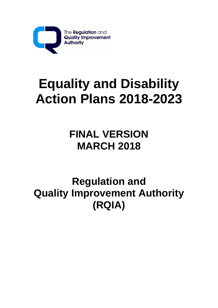

# **Equality and Disability Action Plans 2018-2023**

# **FINAL VERSION MARCH 2018**

# **Regulation and Quality Improvement Authority (RQIA)**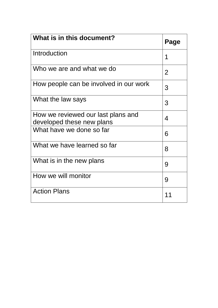| What is in this document?                                       | Page           |
|-----------------------------------------------------------------|----------------|
| Introduction                                                    | 1              |
| Who we are and what we do                                       | $\overline{2}$ |
| How people can be involved in our work                          | 3              |
| What the law says                                               | 3              |
| How we reviewed our last plans and<br>developed these new plans | $\overline{4}$ |
| What have we done so far                                        | 6              |
| What we have learned so far                                     | 8              |
| What is in the new plans                                        | 9              |
| How we will monitor                                             | 9              |
| <b>Action Plans</b>                                             | 11             |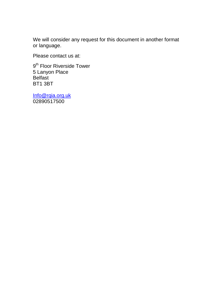We will consider any request for this document in another format or language.

Please contact us at:

9<sup>th</sup> Floor Riverside Tower 5 Lanyon Place Belfast BT1 3BT

[Info@rqia.org.uk](mailto:Info@rqia.org.uk) 02890517500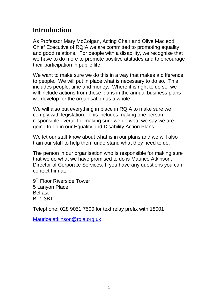# **Introduction**

As Professor Mary McColgan, Acting Chair and Olive Macleod, Chief Executive of RQIA we are committed to promoting equality and good relations. For people with a disability, we recognise that we have to do more to promote positive attitudes and to encourage their participation in public life.

We want to make sure we do this in a way that makes a difference to people. We will put in place what is necessary to do so. This includes people, time and money. Where it is right to do so, we will include actions from these plans in the annual business plans we develop for the organisation as a whole.

We will also put everything in place in RQIA to make sure we comply with legislation. This includes making one person responsible overall for making sure we do what we say we are going to do in our Equality and Disability Action Plans.

We let our staff know about what is in our plans and we will also train our staff to help them understand what they need to do.

The person in our organisation who is responsible for making sure that we do what we have promised to do is Maurice Atkinson, Director of Corporate Services. If you have any questions you can contact him at:

9<sup>th</sup> Floor Riverside Tower 5 Lanyon Place **Belfast** BT1 3BT

Telephone: 028 9051 7500 for text relay prefix with 18001

Maurice.atkinson@rgia.org.uk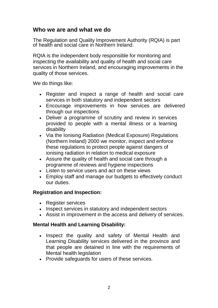#### **Who we are and what we do**

The Regulation and Quality Improvement Authority (RQIA) is part of health and social care in Northern Ireland.

RQIA is the independent body responsible for monitoring and inspecting the availability and quality of health and social care services in Northern Ireland, and encouraging improvements in the quality of those services.

We do things like:

- Register and inspect a range of health and social care services in both statutory and independent sectors
- Encourage improvements in how services are delivered through our inspections
- Deliver a programme of scrutiny and review in services provided to people with a mental illness or a learning disability
- Via the Ionising Radiation (Medical Exposure) Regulations (Northern Ireland) 2000 we monitor, inspect and enforce these regulations to protect people against dangers of ionising radiation in relation to medical exposure
- Assure the quality of health and social care through a programme of reviews and hygiene inspections
- Listen to service users and act on these views
- Employ staff and manage our budgets to effectively conduct our duties.

#### **Registration and Inspection:**

- Register services
- Inspect services in statutory and independent sectors
- Assist in improvement in the access and delivery of services.

#### **Mental Health and Learning Disability:**

- Inspect the quality and safety of Mental Health and Learning Disability services delivered in the province and that people are detained in line with the requirements of Mental health legislation
- Provide safeguards for users of these services.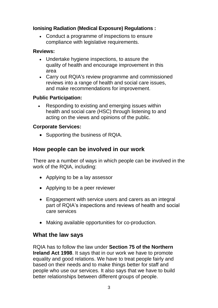#### **Ionising Radiation (Medical Exposure) Regulations :**

• Conduct a programme of inspections to ensure compliance with legislative requirements.

#### **Reviews:**

- Undertake hygiene inspections, to assure the quality of health and encourage improvement in this area
- Carry out RQIA's review programme and commissioned reviews into a range of health and social care issues, and make recommendations for improvement.

#### **Public Participation:**

• Responding to existing and emerging issues within health and social care (HSC) through listening to and acting on the views and opinions of the public.

#### **Corporate Services:**

• Supporting the business of RQIA.

# **How people can be involved in our work**

There are a number of ways in which people can be involved in the work of the RQIA, including:

- Applying to be a lay assessor
- Applying to be a peer reviewer
- Engagement with service users and carers as an integral part of RQIA's inspections and reviews of health and social care services
- Making available opportunities for co-production.

# **What the law says**

RQIA has to follow the law under **Section 75 of the Northern Ireland Act 1998**. It says that in our work we have to promote equality and good relations. We have to treat people fairly and based on their needs and to make things better for staff and people who use our services. It also says that we have to build better relationships between different groups of people.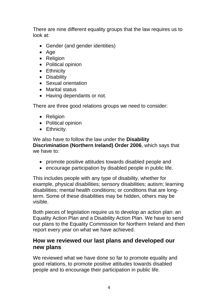There are nine different equality groups that the law requires us to look at:

- Gender (and gender identities)
- Age
- Religion
- Political opinion
- Ethnicity
- Disability
- Sexual orientation
- Marital status
- Having dependants or not.

There are three good relations groups we need to consider:

- Religion
- Political opinion
- Ethnicity.

We also have to follow the law under the **Disability Discrimination (Northern Ireland) Order 2006**, which says that we have to:

- promote positive attitudes towards disabled people and
- encourage participation by disabled people in public life.

This includes people with any type of disability, whether for example, physical disabilities; sensory disabilities; autism; learning disabilities; mental health conditions; or conditions that are longterm. Some of these disabilities may be hidden, others may be visible.

Both pieces of legislation require us to develop an action plan: an Equality Action Plan and a Disability Action Plan. We have to send our plans to the Equality Commission for Northern Ireland and then report every year on what we have achieved.

### **How we reviewed our last plans and developed our new plans**

We reviewed what we have done so far to promote equality and good relations, to promote positive attitudes towards disabled people and to encourage their participation in public life.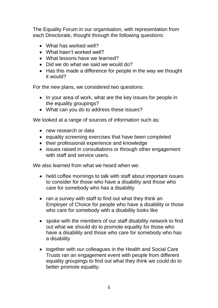The Equality Forum in our organisation, with representation from each Directorate, thought through the following questions:

- What has worked well?
- What hasn't worked well?
- What lessons have we learned?
- Did we do what we said we would do?
- Has this made a difference for people in the way we thought it would?

For the new plans, we considered two questions:

- In your area of work, what are the key issues for people in the equality groupings?
- What can you do to address these issues?

We looked at a range of sources of information such as:

- new research or data
- equality screening exercises that have been completed
- their professional experience and knowledge
- issues raised in consultations or through other engagement with staff and service users.

We also learned from what we heard when we:

- held coffee mornings to talk with staff about important issues to consider for those who have a disability and those who care for somebody who has a disability
- ran a survey with staff to find out what they think an Employer of Choice for people who have a disability or those who care for somebody with a disability looks like
- spoke with the members of our staff disability network to find out what we should do to promote equality for those who have a disability and those who care for somebody who has a disability
- together with our colleagues in the Health and Social Care Trusts ran an engagement event with people from different equality groupings to find out what they think we could do to better promote equality.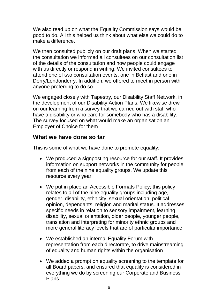We also read up on what the Equality Commission says would be good to do. All this helped us think about what else we could do to make a difference.

We then consulted publicly on our draft plans. When we started the consultation we informed all consultees on our consultation list of the details of the consultation and how people could engage with us directly or respond in writing. We invited consultees to attend one of two consultation events, one in Belfast and one in Derry/Londonderry. In addition, we offered to meet in person with anyone preferring to do so.

We engaged closely with Tapestry, our Disability Staff Network, in the development of our Disability Action Plans. We likewise drew on our learning from a survey that we carried out with staff who have a disability or who care for somebody who has a disability. The survey focused on what would make an organisation an Employer of Choice for them

#### **What we have done so far**

This is some of what we have done to promote equality:

- We produced a signposting resource for our staff. It provides information on support networks in the community for people from each of the nine equality groups. We update this resource every year
- We put in place an Accessible Formats Policy; this policy relates to all of the nine equality groups including age, gender, disability, ethnicity, sexual orientation, political opinion, dependants, religion and marital status. It addresses specific needs in relation to sensory impairment, learning disability, sexual orientation, older people, younger people, translation and interpreting for minority ethnic groups and more general literacy levels that are of particular importance
- We established an internal Equality Forum with representation from each directorate, to drive mainstreaming of equality and human rights within the organisation
- We added a prompt on equality screening to the template for all Board papers, and ensured that equality is considered in everything we do by screening our Corporate and Business Plans.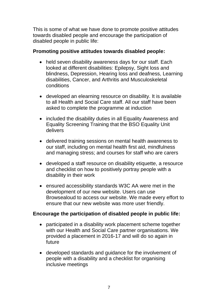This is some of what we have done to promote positive attitudes towards disabled people and encourage the participation of disabled people in public life:

#### **Promoting positive attitudes towards disabled people:**

- held seven disability awareness days for our staff. Each looked at different disabilities: Epilepsy, Sight loss and blindness, Depression, Hearing loss and deafness, Learning disabilities, Cancer, and Arthritis and Musculoskeletal conditions
- developed an elearning resource on disability. It is available to all Health and Social Care staff. All our staff have been asked to complete the programme at induction
- included the disability duties in all Equality Awareness and Equality Screening Training that the BSO Equality Unit delivers
- delivered training sessions on mental health awareness to our staff, including on mental health first aid, mindfulness and managing stress; and courses for staff who are carers
- developed a staff resource on disability etiquette, a resource and checklist on how to positively portray people with a disability in their work
- ensured accessibility standards W3C AA were met in the development of our new website. Users can use Browsealoud to access our website. We made every effort to ensure that our new website was more user friendly.

#### **Encourage the participation of disabled people in public life:**

- participated in a disability work placement scheme together with our Health and Social Care partner organisations. We provided a placement in 2016-17 and will do so again in future
- developed standards and guidance for the involvement of people with a disability and a checklist for organising inclusive meetings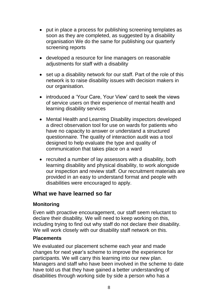- put in place a process for publishing screening templates as soon as they are completed, as suggested by a disability organisation We do the same for publishing our quarterly screening reports
- developed a resource for line managers on reasonable adjustments for staff with a disability
- set up a disability network for our staff. Part of the role of this network is to raise disability issues with decision makers in our organisation.
- introduced a 'Your Care, Your View' card to seek the views of service users on their experience of mental health and learning disability services
- Mental Health and Learning Disability inspectors developed a direct observation tool for use on wards for patients who have no capacity to answer or understand a structured questionnaire. The quality of interaction audit was a tool designed to help evaluate the type and quality of communication that takes place on a ward
- recruited a number of lay assessors with a disability, both learning disability and physical disability, to work alongside our inspection and review staff. Our recruitment materials are provided in an easy to understand format and people with disabilities were encouraged to apply.

#### **What we have learned so far**

#### **Monitoring**

Even with proactive encouragement, our staff seem reluctant to declare their disability. We will need to keep working on this, including trying to find out why staff do not declare their disability. We will work closely with our disability staff network on this.

#### **Placements**

We evaluated our placement scheme each year and made changes for next year's scheme to improve the experience for participants. We will carry this learning into our new plan. Managers and staff who have been involved in the scheme to date have told us that they have gained a better understanding of disabilities through working side by side a person who has a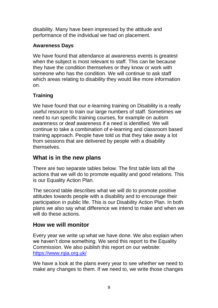disability. Many have been impressed by the attitude and performance of the individual we had on placement.

#### **Awareness Days**

We have found that attendance at awareness events is greatest when the subject is most relevant to staff. This can be because they have the condition themselves or they know or work with someone who has the condition. We will continue to ask staff which areas relating to disability they would like more information on.

# **Training**

We have found that our e-learning training on Disability is a really useful resource to train our large numbers of staff. Sometimes we need to run specific training courses, for example on autism awareness or deaf awareness if a need is identified. We will continue to take a combination of e-learning and classroom based training approach. People have told us that they take away a lot from sessions that are delivered by people with a disability themselves.

# **What is in the new plans**

There are two separate tables below. The first table lists all the actions that we will do to promote equality and good relations. This is our Equality Action Plan.

The second table describes what we will do to promote positive attitudes towards people with a disability and to encourage their participation in public life. This is our Disability Action Plan. In both plans we also say what difference we intend to make and when we will do these actions.

# **How we will monitor**

Every year we write up what we have done. We also explain when we haven't done something. We send this report to the Equality Commission. We also publish this report on our website: <https://www.rqia.org.uk/>

We have a look at the plans every year to see whether we need to make any changes to them. If we need to, we write those changes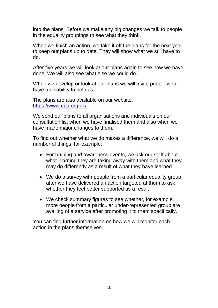into the plans. Before we make any big changes we talk to people in the equality groupings to see what they think.

When we finish an action, we take it off the plans for the next year to keep our plans up to date. They will show what we still have to do.

After five years we will look at our plans again to see how we have done. We will also see what else we could do.

When we develop or look at our plans we will invite people who have a disability to help us.

The plans are also available on our website: <https://www.rqia.org.uk/>

We send our plans to all organisations and individuals on our consultation list when we have finalised them and also when we have made major changes to them.

To find out whether what we do makes a difference, we will do a number of things, for example:

- For training and awareness events, we ask our staff about what learning they are taking away with them and what they may do differently as a result of what they have learned
- We do a survey with people from a particular equality group after we have delivered an action targeted at them to ask whether they feel better supported as a result
- We check summary figures to see whether, for example, more people from a particular under-represented group are availing of a service after promoting it to them specifically.

You can find further information on how we will monitor each action in the plans themselves.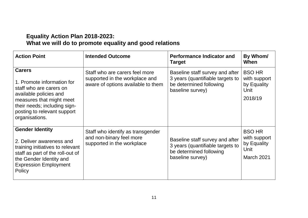### **Equality Action Plan 2018-2023: What we will do to promote equality and good relations**

| <b>Action Point</b>                                                                                                                                                                                           | <b>Intended Outcome</b>                                                                                | <b>Performance Indicator and</b><br><b>Target</b>                                                                  | By Whom/<br>When                                                   |
|---------------------------------------------------------------------------------------------------------------------------------------------------------------------------------------------------------------|--------------------------------------------------------------------------------------------------------|--------------------------------------------------------------------------------------------------------------------|--------------------------------------------------------------------|
| <b>Carers</b><br>1. Promote information for<br>staff who are carers on<br>available policies and<br>measures that might meet<br>their needs; including sign-<br>posting to relevant support<br>organisations. | Staff who are carers feel more<br>supported in the workplace and<br>aware of options available to them | Baseline staff survey and after<br>3 years (quantifiable targets to<br>be determined following<br>baseline survey) | <b>BSO HR</b><br>with support<br>by Equality<br>Unit<br>2018/19    |
| <b>Gender Identity</b><br>2. Deliver awareness and<br>training initiatives to relevant<br>staff as part of the roll-out of<br>the Gender Identity and<br><b>Expression Employment</b><br>Policy               | Staff who identify as transgender<br>and non-binary feel more<br>supported in the workplace            | Baseline staff survey and after<br>3 years (quantifiable targets to<br>be determined following<br>baseline survey) | <b>BSO HR</b><br>with support<br>by Equality<br>Unit<br>March 2021 |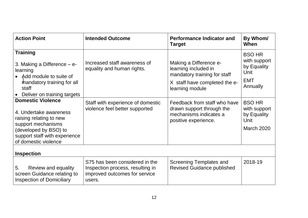| <b>Action Point</b>                                                                                                                                                                   | <b>Intended Outcome</b>                                                                                       | <b>Performance Indicator and</b><br><b>Target</b>                                                                                  | By Whom/<br>When                                                               |
|---------------------------------------------------------------------------------------------------------------------------------------------------------------------------------------|---------------------------------------------------------------------------------------------------------------|------------------------------------------------------------------------------------------------------------------------------------|--------------------------------------------------------------------------------|
| <b>Training</b><br>3. Making a Difference $-$ e-<br>learning<br>• Add module to suite of<br>mandatory training for all<br>staff<br>Deliver on training targets                        | Increased staff awareness of<br>equality and human rights.                                                    | Making a Difference e-<br>learning included in<br>mandatory training for staff<br>X staff have completed the e-<br>learning module | <b>BSO HR</b><br>with support<br>by Equality<br>Unit<br><b>EMT</b><br>Annually |
| <b>Domestic Violence</b><br>4. Undertake awareness<br>raising relating to new<br>support mechanisms<br>(developed by BSO) to<br>support staff with experience<br>of domestic violence | Staff with experience of domestic<br>violence feel better supported                                           | Feedback from staff who have<br>drawn support through the<br>mechanisms indicates a<br>positive experience.                        | <b>BSO HR</b><br>with support<br>by Equality<br>Unit<br><b>March 2020</b>      |
| <b>Inspection</b>                                                                                                                                                                     |                                                                                                               |                                                                                                                                    |                                                                                |
| 5.<br>Review and equality<br>screen Guidance relating to<br><b>Inspection of Domiciliary</b>                                                                                          | S75 has been considered in the<br>Inspection process, resulting in<br>improved outcomes for service<br>users. | <b>Screening Templates and</b><br><b>Revised Guidance published</b>                                                                | 2018-19                                                                        |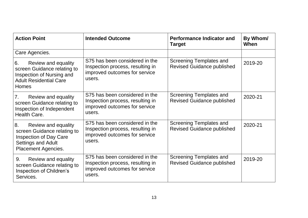| <b>Action Point</b>                                                                                                                                  | <b>Intended Outcome</b>                                                                                       | <b>Performance Indicator and</b><br><b>Target</b>            | By Whom/<br>When |
|------------------------------------------------------------------------------------------------------------------------------------------------------|---------------------------------------------------------------------------------------------------------------|--------------------------------------------------------------|------------------|
| Care Agencies.                                                                                                                                       |                                                                                                               |                                                              |                  |
| Review and equality<br>6.<br>screen Guidance relating to<br>Inspection of Nursing and<br><b>Adult Residential Care</b><br><b>Homes</b>               | S75 has been considered in the<br>Inspection process, resulting in<br>improved outcomes for service<br>users. | Screening Templates and<br><b>Revised Guidance published</b> | 2019-20          |
| 7.<br>Review and equality<br>screen Guidance relating to<br>Inspection of Independent<br>Health Care.                                                | S75 has been considered in the<br>Inspection process, resulting in<br>improved outcomes for service<br>users. | Screening Templates and<br><b>Revised Guidance published</b> | 2020-21          |
| 8.<br>Review and equality<br>screen Guidance relating to<br><b>Inspection of Day Care</b><br><b>Settings and Adult</b><br><b>Placement Agencies.</b> | S75 has been considered in the<br>Inspection process, resulting in<br>improved outcomes for service<br>users. | Screening Templates and<br><b>Revised Guidance published</b> | 2020-21          |
| Review and equality<br>9.<br>screen Guidance relating to<br>Inspection of Children's<br>Services.                                                    | S75 has been considered in the<br>Inspection process, resulting in<br>improved outcomes for service<br>users. | Screening Templates and<br><b>Revised Guidance published</b> | 2019-20          |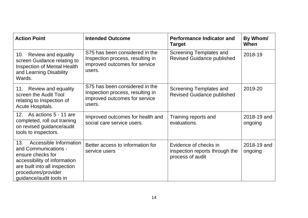| <b>Action Point</b>                                                                                                                                                                           | <b>Intended Outcome</b>                                                                                       | <b>Performance Indicator and</b><br><b>Target</b>                           | By Whom/<br>When       |
|-----------------------------------------------------------------------------------------------------------------------------------------------------------------------------------------------|---------------------------------------------------------------------------------------------------------------|-----------------------------------------------------------------------------|------------------------|
| Review and equality<br>10.<br>screen Guidance relating to<br><b>Inspection of Mental Health</b><br>and Learning Disability<br>Wards.                                                          | S75 has been considered in the<br>Inspection process, resulting in<br>improved outcomes for service<br>users. | Screening Templates and<br><b>Revised Guidance published</b>                | 2018-19                |
| Review and equality<br>11.<br>screen the Audit Tool<br>relating to Inspection of<br>Acute Hospitals.                                                                                          | S75 has been considered in the<br>Inspection process, resulting in<br>improved outcomes for service<br>users. | <b>Screening Templates and</b><br><b>Revised Guidance published</b>         | 2019-20                |
| As actions 5 - 11 are<br>12.<br>completed, roll out training<br>on revised guidance/audit<br>tools to inspectors.                                                                             | Improved outcomes for health and<br>social care service users.                                                | Training reports and<br>evaluations.                                        | 2018-19 and<br>ongoing |
| Accessible Information<br>13.<br>and Communications -<br>ensure checks for<br>accessibility of information<br>are built into all inspection<br>procedures/provider<br>guidance/audit tools in | Better access to information for<br>service users                                                             | Evidence of checks in<br>inspection reports through the<br>process of audit | 2018-19 and<br>ongoing |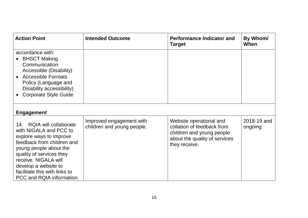| <b>Action Point</b>                                                                                                                                                                                                                                                              | <b>Intended Outcome</b>                                | <b>Performance Indicator and</b><br><b>Target</b>                                                                                    | By Whom/<br>When       |
|----------------------------------------------------------------------------------------------------------------------------------------------------------------------------------------------------------------------------------------------------------------------------------|--------------------------------------------------------|--------------------------------------------------------------------------------------------------------------------------------------|------------------------|
| accordance with:<br><b>BHSCT Making</b><br>Communication<br>Accessible (Disability)<br>• Accessible Formats<br>Policy (Language and<br>Disability accessibility)<br><b>Corporate Style Guide</b>                                                                                 |                                                        |                                                                                                                                      |                        |
| <b>Engagement</b>                                                                                                                                                                                                                                                                |                                                        |                                                                                                                                      |                        |
| 14. RQIA will collaborate<br>with NIGALA and PCC to<br>explore ways to improve<br>feedback from children and<br>young people about the<br>quality of services they<br>receive. NIGALA will<br>develop a website to<br>facilitate this with links to<br>PCC and RQIA information. | Improved engagement with<br>children and young people. | Website operational and<br>collation of feedback from<br>children and young people<br>about the quality of services<br>they receive. | 2018-19 and<br>ongoing |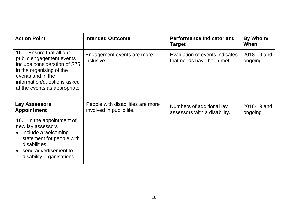| <b>Action Point</b>                                                                                                                                                                                     | <b>Intended Outcome</b>                                       | <b>Performance Indicator and</b><br><b>Target</b>           | By Whom/<br>When       |
|---------------------------------------------------------------------------------------------------------------------------------------------------------------------------------------------------------|---------------------------------------------------------------|-------------------------------------------------------------|------------------------|
| Ensure that all our<br>15.<br>public engagement events<br>include consideration of S75<br>in the organising of the<br>events and in the<br>information/questions asked<br>at the events as appropriate. | Engagement events are more<br>inclusive.                      | Evaluation of events indicates<br>that needs have been met. | 2018-19 and<br>ongoing |
| Lay Assessors<br><b>Appointment</b>                                                                                                                                                                     | People with disabilities are more<br>involved in public life. | Numbers of additional lay<br>assessors with a disability.   | 2018-19 and<br>ongoing |
| In the appointment of<br>16.<br>new lay assessors<br>include a welcoming<br>$\bullet$<br>statement for people with<br>disabilities<br>• send advertisement to<br>disability organisations               |                                                               |                                                             |                        |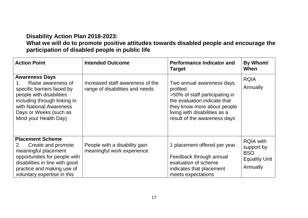# **Disability Action Plan 2018-2023:**

# **What we will do to promote positive attitudes towards disabled people and encourage the participation of disabled people in public life**

| <b>Action Point</b>                                                                                                                                                                                                            | <b>Intended Outcome</b>                                             | <b>Performance Indicator and</b><br><b>Target</b>                                                                                                                                                       | By Whom/<br>When                                                                 |
|--------------------------------------------------------------------------------------------------------------------------------------------------------------------------------------------------------------------------------|---------------------------------------------------------------------|---------------------------------------------------------------------------------------------------------------------------------------------------------------------------------------------------------|----------------------------------------------------------------------------------|
| <b>Awareness Days</b><br>Raise awareness of<br>$1_{-}$<br>specific barriers faced by<br>people with disabilities<br>including through linking in<br>with National Awareness<br>Days or Weeks (such as<br>Mind your Health Day) | Increased staff awareness of the<br>range of disabilities and needs | Two annual awareness days<br>profiled<br>>50% of staff participating in<br>the evaluation indicate that<br>they know more about people<br>living with disabilities as a<br>result of the awareness days | <b>RQIA</b><br>Annually                                                          |
| <b>Placement Scheme</b><br>Create and promote<br>2.<br>meaningful placement<br>opportunities for people with<br>disabilities in line with good<br>practice and making use of<br>voluntary expertise in this                    | People with a disability gain<br>meaningful work experience         | 1 placement offered per year.<br>Feedback through annual<br>evaluation of scheme<br>indicates that placement<br>meets expectations                                                                      | <b>RQIA with</b><br>support by<br><b>BSO</b><br><b>Equality Unit</b><br>Annually |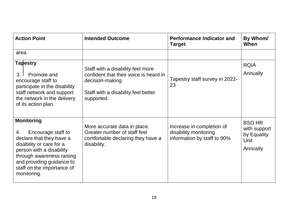| <b>Action Point</b>                                                                                                                                                                                                                      | <b>Intended Outcome</b>                                                                                                                              | <b>Performance Indicator and</b><br><b>Target</b>                                 | By Whom/<br>When                                                 |
|------------------------------------------------------------------------------------------------------------------------------------------------------------------------------------------------------------------------------------------|------------------------------------------------------------------------------------------------------------------------------------------------------|-----------------------------------------------------------------------------------|------------------------------------------------------------------|
| area.                                                                                                                                                                                                                                    |                                                                                                                                                      |                                                                                   |                                                                  |
| <b>Tapestry</b><br>Promote and<br>3 <sub>1</sub><br>encourage staff to<br>participate in the disability<br>staff network and support<br>the network in the delivery<br>of its action plan.                                               | Staff with a disability feel more<br>confident that their voice is heard in<br>decision-making.<br>Staff with a disability feel better<br>supported. | Tapestry staff survey in 2022-<br>23                                              | <b>RQIA</b><br>Annually                                          |
| <b>Monitoring</b><br>Encourage staff to<br>4.<br>declare that they have a<br>disability or care for a<br>person with a disability<br>through awareness raising<br>and providing guidance to<br>staff on the importance of<br>monitoring. | More accurate data in place.<br>Greater number of staff feel<br>comfortable declaring they have a<br>disability.                                     | Increase in completion of<br>disability monitoring<br>information by staff to 90% | <b>BSO HR</b><br>with support<br>by Equality<br>Unit<br>Annually |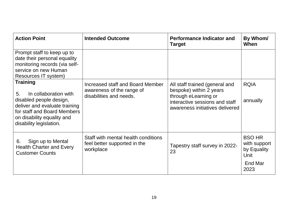| <b>Action Point</b>                                                                                                                                                                                | <b>Intended Outcome</b>                                                                  | <b>Performance Indicator and</b><br>Target                                                                                                             | By Whom/<br>When                                                        |
|----------------------------------------------------------------------------------------------------------------------------------------------------------------------------------------------------|------------------------------------------------------------------------------------------|--------------------------------------------------------------------------------------------------------------------------------------------------------|-------------------------------------------------------------------------|
| Prompt staff to keep up to<br>date their personal equality<br>monitoring records (via self-<br>service on new Human<br>Resources IT system)                                                        |                                                                                          |                                                                                                                                                        |                                                                         |
| <b>Training</b><br>In collaboration with<br>5.<br>disabled people design,<br>deliver and evaluate training<br>for staff and Board Members<br>on disability equality and<br>disability legislation. | Increased staff and Board Member<br>awareness of the range of<br>disabilities and needs. | All staff trained (general and<br>bespoke) within 2 years<br>through eLearning or<br>interactive sessions and staff<br>awareness initiatives delivered | <b>RQIA</b><br>annually                                                 |
| Sign up to Mental<br>6.<br><b>Health Charter and Every</b><br><b>Customer Counts</b>                                                                                                               | Staff with mental health conditions<br>feel better supported in the<br>workplace         | Tapestry staff survey in 2022-<br>23                                                                                                                   | <b>BSO HR</b><br>with support<br>by Equality<br>Unit<br>End Mar<br>2023 |